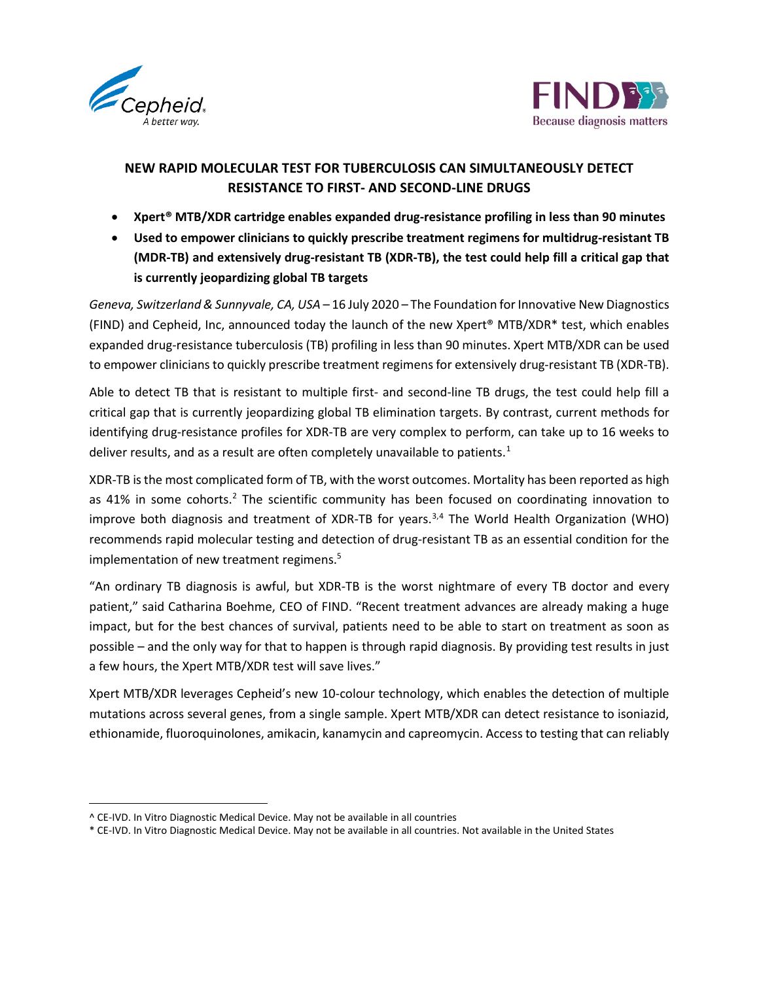



# **NEW RAPID MOLECULAR TEST FOR TUBERCULOSIS CAN SIMULTANEOUSLY DETECT RESISTANCE TO FIRST- AND SECOND-LINE DRUGS**

- **Xpert® MTB/XDR cartridge enables expanded drug-resistance profiling in less than 90 minutes**
- **Used to empower clinicians to quickly prescribe treatment regimens for multidrug-resistant TB (MDR-TB) and extensively drug-resistant TB (XDR-TB), the test could help fill a critical gap that is currently jeopardizing global TB targets**

*Geneva, Switzerland & Sunnyvale, CA, USA* – 16 July 2020 – The Foundation for Innovative New Diagnostics (FIND) and Cepheid, Inc, announced today the launch of the new Xpert® MTB/XDR\* test, which enables expanded drug-resistance tuberculosis (TB) profiling in less than 90 minutes. Xpert MTB/XDR can be used to empower clinicians to quickly prescribe treatment regimens for extensively drug-resistant TB (XDR-TB).

Able to detect TB that is resistant to multiple first- and second-line TB drugs, the test could help fill a critical gap that is currently jeopardizing global TB elimination targets. By contrast, current methods for identifying drug-resistance profiles for XDR-TB are very complex to perform, can take up to 16 weeks to deliver results, and as a result are often completely unavailable to patients. $<sup>1</sup>$  $<sup>1</sup>$  $<sup>1</sup>$ </sup>

XDR-TB is the most complicated form of TB, with the worst outcomes. Mortality has been reported as high as 41% in some cohorts.<sup>[2](#page-0-1)</sup> The scientific community has been focused on coordinating innovation to improve both diagnosis and treatment of XDR-TB for years.<sup>[3](#page-0-2)[,4](#page-0-3)</sup> The World Health Organization (WHO) recommends rapid molecular testing and detection of drug-resistant TB as an essential condition for the implementation of new treatment regimens.<sup>5</sup>

"An ordinary TB diagnosis is awful, but XDR-TB is the worst nightmare of every TB doctor and every patient," said Catharina Boehme, CEO of FIND. "Recent treatment advances are already making a huge impact, but for the best chances of survival, patients need to be able to start on treatment as soon as possible – and the only way for that to happen is through rapid diagnosis. By providing test results in just a few hours, the Xpert MTB/XDR test will save lives."

Xpert MTB/XDR leverages Cepheid's new 10-colour technology, which enables the detection of multiple mutations across several genes, from a single sample. Xpert MTB/XDR can detect resistance to isoniazid, ethionamide, fluoroquinolones, amikacin, kanamycin and capreomycin. Access to testing that can reliably

<span id="page-0-0"></span><sup>^</sup> CE-IVD. In Vitro Diagnostic Medical Device. May not be available in all countries

<span id="page-0-3"></span><span id="page-0-2"></span><span id="page-0-1"></span><sup>\*</sup> CE-IVD. In Vitro Diagnostic Medical Device. May not be available in all countries. Not available in the United States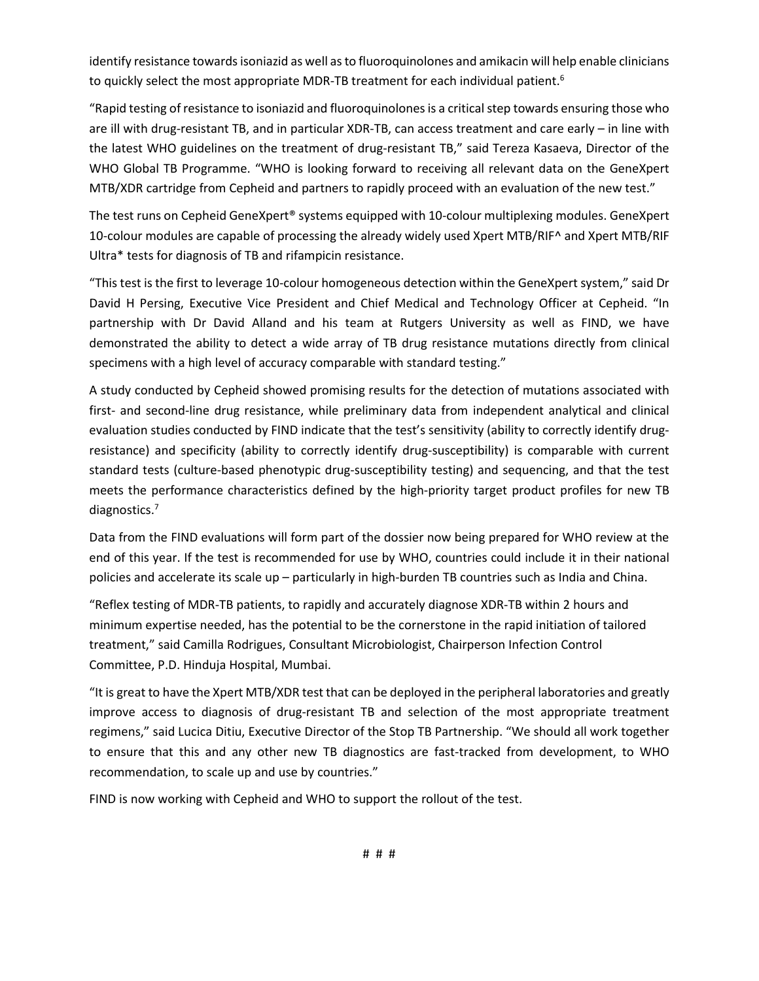identify resistance towards isoniazid as well as to fluoroquinolones and amikacin will help enable clinicians to quickly select the most appropriate MDR-TB treatment for each individual patient.<sup>6</sup>

"Rapid testing of resistance to isoniazid and fluoroquinolones is a critical step towards ensuring those who are ill with drug-resistant TB, and in particular XDR-TB, can access treatment and care early – in line with the latest WHO guidelines on the treatment of drug-resistant TB," said Tereza Kasaeva, Director of the WHO Global TB Programme. "WHO is looking forward to receiving all relevant data on the GeneXpert MTB/XDR cartridge from Cepheid and partners to rapidly proceed with an evaluation of the new test."

The test runs on Cepheid GeneXpert® systems equipped with 10-colour multiplexing modules. GeneXpert 10-colour modules are capable of processing the already widely used Xpert MTB/RIF^ and Xpert MTB/RIF Ultra\* tests for diagnosis of TB and rifampicin resistance.

"This test is the first to leverage 10-colour homogeneous detection within the GeneXpert system," said Dr David H Persing, Executive Vice President and Chief Medical and Technology Officer at Cepheid. "In partnership with Dr David Alland and his team at Rutgers University as well as FIND, we have demonstrated the ability to detect a wide array of TB drug resistance mutations directly from clinical specimens with a high level of accuracy comparable with standard testing."

A study conducted by Cepheid showed promising results for the detection of mutations associated with first- and second-line drug resistance, while preliminary data from independent analytical and clinical evaluation studies conducted by FIND indicate that the test's sensitivity (ability to correctly identify drugresistance) and specificity (ability to correctly identify drug-susceptibility) is comparable with current standard tests (culture-based phenotypic drug-susceptibility testing) and sequencing, and that the test meets the performance characteristics defined by the high-priority target product profiles for new TB diagnostics.<sup>7</sup>

Data from the FIND evaluations will form part of the dossier now being prepared for WHO review at the end of this year. If the test is recommended for use by WHO, countries could include it in their national policies and accelerate its scale up – particularly in high-burden TB countries such as India and China.

"Reflex testing of MDR-TB patients, to rapidly and accurately diagnose XDR-TB within 2 hours and minimum expertise needed, has the potential to be the cornerstone in the rapid initiation of tailored treatment," said Camilla Rodrigues, Consultant Microbiologist, Chairperson Infection Control Committee, P.D. Hinduja Hospital, Mumbai.

"It is great to have the Xpert MTB/XDR test that can be deployed in the peripheral laboratories and greatly improve access to diagnosis of drug-resistant TB and selection of the most appropriate treatment regimens," said Lucica Ditiu, Executive Director of the Stop TB Partnership. "We should all work together to ensure that this and any other new TB diagnostics are fast-tracked from development, to WHO recommendation, to scale up and use by countries."

FIND is now working with Cepheid and WHO to support the rollout of the test.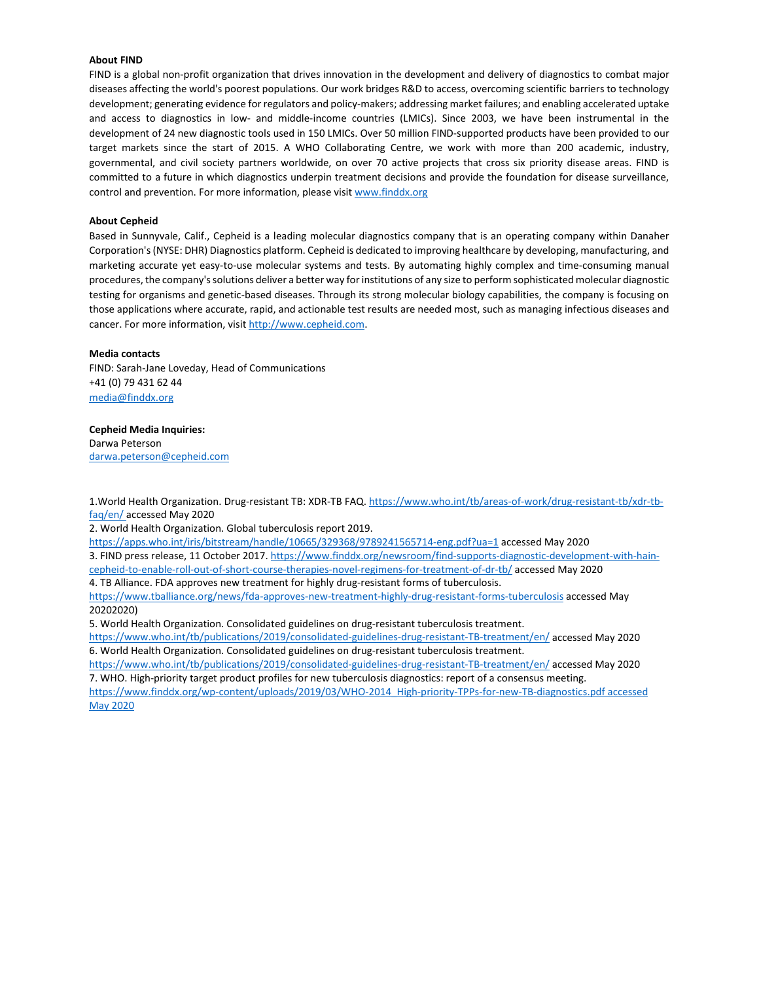# **About FIND**

FIND is a global non-profit organization that drives innovation in the development and delivery of diagnostics to combat major diseases affecting the world's poorest populations. Our work bridges R&D to access, overcoming scientific barriers to technology development; generating evidence for regulators and policy-makers; addressing market failures; and enabling accelerated uptake and access to diagnostics in low- and middle-income countries (LMICs). Since 2003, we have been instrumental in the development of 24 new diagnostic tools used in 150 LMICs. Over 50 million FIND-supported products have been provided to our target markets since the start of 2015. A WHO Collaborating Centre, we work with more than 200 academic, industry, governmental, and civil society partners worldwide, on over 70 active projects that cross six priority disease areas. FIND is committed to a future in which diagnostics underpin treatment decisions and provide the foundation for disease surveillance, control and prevention. For more information, please visi[t www.finddx.org](http://www.finddx.org/)

#### **About Cepheid**

Based in Sunnyvale, Calif., Cepheid is a leading molecular diagnostics company that is an operating company within Danaher Corporation's (NYSE: DHR) Diagnostics platform. Cepheid is dedicated to improving healthcare by developing, manufacturing, and marketing accurate yet easy-to-use molecular systems and tests. By automating highly complex and time-consuming manual procedures, the company's solutions deliver a better way for institutions of any size to perform sophisticated molecular diagnostic testing for organisms and genetic-based diseases. Through its strong molecular biology capabilities, the company is focusing on those applications where accurate, rapid, and actionable test results are needed most, such as managing infectious diseases and cancer. For more information, visi[t http://www.cepheid.com.](http://www.cepheid.com/)

## **Media contacts**

FIND: Sarah-Jane Loveday, Head of Communications +41 (0) 79 431 62 44 [media@finddx.org](mailto:media@finddx.org)

### **Cepheid Media Inquiries:**

Darwa Peterson [darwa.peterson@cepheid.com](mailto:darwa.peterson@cepheid.com)

1.World Health Organization. Drug-resistant TB: XDR-TB FAQ. [https://www.who.int/tb/areas-of-work/drug-resistant-tb/xdr-tb](https://www.who.int/tb/areas-of-work/drug-resistant-tb/xdr-tb-faq/en/)[faq/en/](https://www.who.int/tb/areas-of-work/drug-resistant-tb/xdr-tb-faq/en/) accessed May 2020

2. World Health Organization. Global tuberculosis report 2019.

<https://apps.who.int/iris/bitstream/handle/10665/329368/9789241565714-eng.pdf?ua=1> accessed May 2020 3. FIND press release, 11 October 2017[. https://www.finddx.org/newsroom/find-supports-diagnostic-development-with-hain](https://www.finddx.org/newsroom/find-supports-diagnostic-development-with-hain-cepheid-to-enable-roll-out-of-short-course-therapies-novel-regimens-for-treatment-of-dr-tb/)[cepheid-to-enable-roll-out-of-short-course-therapies-novel-regimens-for-treatment-of-dr-tb/](https://www.finddx.org/newsroom/find-supports-diagnostic-development-with-hain-cepheid-to-enable-roll-out-of-short-course-therapies-novel-regimens-for-treatment-of-dr-tb/) accessed May 2020

4. TB Alliance. FDA approves new treatment for highly drug-resistant forms of tuberculosis.

<https://www.tballiance.org/news/fda-approves-new-treatment-highly-drug-resistant-forms-tuberculosis> accessed May 20202020)

5. World Health Organization. Consolidated guidelines on drug-resistant tuberculosis treatment.

<https://www.who.int/tb/publications/2019/consolidated-guidelines-drug-resistant-TB-treatment/en/> accessed May 2020 6. World Health Organization. Consolidated guidelines on drug-resistant tuberculosis treatment.

<https://www.who.int/tb/publications/2019/consolidated-guidelines-drug-resistant-TB-treatment/en/> accessed May 2020 7. WHO. High-priority target product profiles for new tuberculosis diagnostics: report of a consensus meeting.

[https://www.finddx.org/wp-content/uploads/2019/03/WHO-2014\\_High-priority-TPPs-for-new-TB-diagnostics.pdf accessed](https://www.finddx.org/wp-content/uploads/2019/03/WHO-2014_High-priority-TPPs-for-new-TB-diagnostics.pdf%20accessed%20May%202020)  [May 2020](https://www.finddx.org/wp-content/uploads/2019/03/WHO-2014_High-priority-TPPs-for-new-TB-diagnostics.pdf%20accessed%20May%202020)